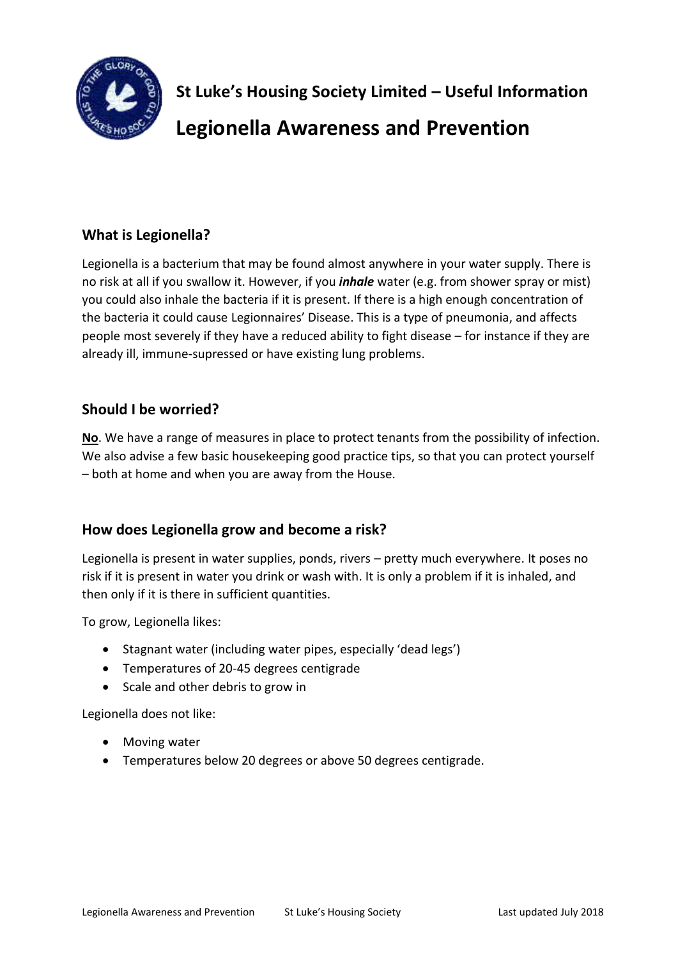

**St Luke's Housing Society Limited – Useful Information Legionella Awareness and Prevention**

# **What is Legionella?**

Legionella is a bacterium that may be found almost anywhere in your water supply. There is no risk at all if you swallow it. However, if you *inhale* water (e.g. from shower spray or mist) you could also inhale the bacteria if it is present. If there is a high enough concentration of the bacteria it could cause Legionnaires' Disease. This is a type of pneumonia, and affects people most severely if they have a reduced ability to fight disease – for instance if they are already ill, immune-supressed or have existing lung problems.

### **Should I be worried?**

**No**. We have a range of measures in place to protect tenants from the possibility of infection. We also advise a few basic housekeeping good practice tips, so that you can protect yourself – both at home and when you are away from the House.

## **How does Legionella grow and become a risk?**

Legionella is present in water supplies, ponds, rivers – pretty much everywhere. It poses no risk if it is present in water you drink or wash with. It is only a problem if it is inhaled, and then only if it is there in sufficient quantities.

To grow, Legionella likes:

- Stagnant water (including water pipes, especially 'dead legs')
- Temperatures of 20-45 degrees centigrade
- Scale and other debris to grow in

Legionella does not like:

- Moving water
- Temperatures below 20 degrees or above 50 degrees centigrade.